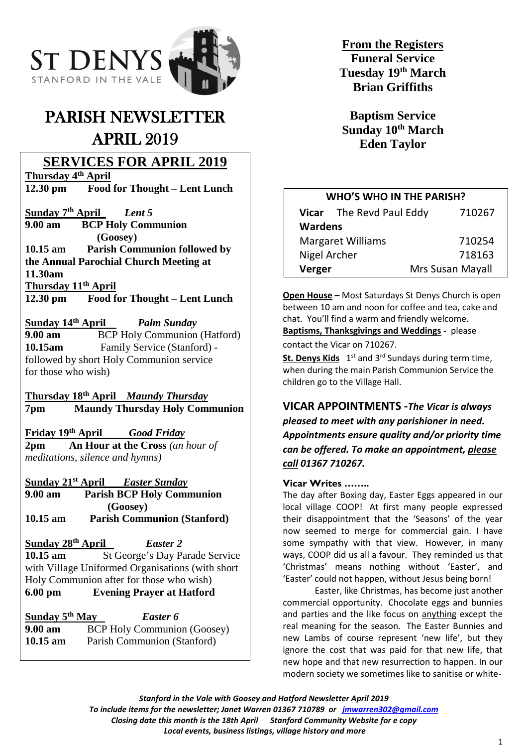

# PARISH NEWSLETTER APRIL 2019

# **SERVICES FOR APRIL 2019**

**Thursday 4 th April**

**12.30 pm Food for Thought – Lent Lunch**

**Sunday 7 th April** *Lent 5* **9.00 am BCP Holy Communion (Goosey) 10.15 am Parish Communion followed by the Annual Parochial Church Meeting at 11.30am Thursday 11th April 12.30 pm Food for Thought – Lent Lunch**

Sunday 14<sup>th</sup> April *Palm Sunday* **9.00 am**  BCP Holy Communion (Hatford) <br> **10.15am** Family Service (Stanford) -Family Service (Stanford) followed by short Holy Communion service for those who wish)

**Thursday 18th April** *Maundy Thursday* **7pm Maundy Thursday Holy Communion**

**Friday 19th April** *Good Friday* **2pm An Hour at the Cross** *(an hour of* 

*meditations, silence and hymns)*

**Sunday 21st April** *Easter Sunday* **9.00 am Parish BCP Holy Communion (Goosey) 10.15 am Parish Communion (Stanford)**

**Sunday 28th April** *Easter 2* **10.15 am** St George's Day Parade Service with Village Uniformed Organisations (with short Holy Communion after for those who wish) **6.00 pm Evening Prayer at Hatford**

**Sunday 5** *Easter 6* **9.00 am** BCP Holy Communion (Goosey) **10.15 am** Parish Communion (Stanford)

**From the Registers Funeral Service Tuesday 19th March Brian Griffiths**

**Baptism Service Sunday 10th March Eden Taylor**

# **WHO'S WHO IN THE PARISH?**

| Vicar The Revd Paul Eddy |  | 710267           |
|--------------------------|--|------------------|
| <b>Wardens</b>           |  |                  |
| <b>Margaret Williams</b> |  | 710254           |
| Nigel Archer             |  | 718163           |
| Verger                   |  | Mrs Susan Mayall |

**Open House –** Most Saturdays St Denys Church is open between 10 am and noon for coffee and tea, cake and chat. You'll find a warm and friendly welcome.

**Baptisms, Thanksgivings and Weddings -** please contact the Vicar on 710267.

St. Denys Kids 1<sup>st</sup> and 3<sup>rd</sup> Sundays during term time, when during the main Parish Communion Service the children go to the Village Hall.

## **VICAR APPOINTMENTS -***The Vicar is always*

*pleased to meet with any parishioner in need. Appointments ensure quality and/or priority time can be offered. To make an appointment, please call 01367 710267.*

### **Vicar Writes ……..**

The day after Boxing day, Easter Eggs appeared in our local village COOP! At first many people expressed their disappointment that the 'Seasons' of the year now seemed to merge for commercial gain. I have some sympathy with that view. However, in many ways, COOP did us all a favour. They reminded us that 'Christmas' means nothing without 'Easter', and 'Easter' could not happen, without Jesus being born!

Easter, like Christmas, has become just another commercial opportunity. Chocolate eggs and bunnies and parties and the like focus on anything except the real meaning for the season. The Easter Bunnies and new Lambs of course represent 'new life', but they ignore the cost that was paid for that new life, that new hope and that new resurrection to happen. In our modern society we sometimes like to sanitise or white-

*Stanford in the Vale with Goosey and Hatford Newsletter April 2019 To include items for the newsletter; Janet Warren 01367 710789 or [jmwarren302@gmail.com](mailto:jmwarren302@gmail.com)*

*Closing date this month is the 18th April Stanford Community Website for e copy*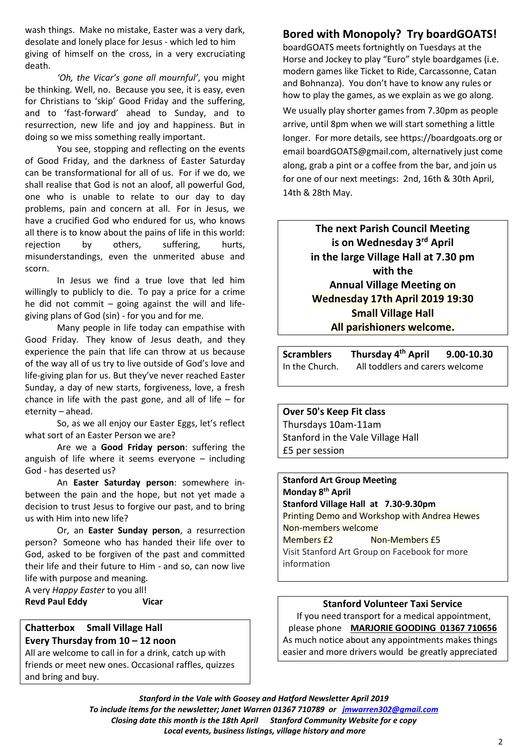wash things. Make no mistake, Easter was a very dark, desolate and lonely place for Jesus - which led to him giving of himself on the cross, in a very excruciating death.

*'Oh, the Vicar's gone all mournful'*, you might be thinking. Well, no. Because you see, it is easy, even for Christians to 'skip' Good Friday and the suffering, and to 'fast-forward' ahead to Sunday, and to resurrection, new life and joy and happiness. But in doing so we miss something really important.

You see, stopping and reflecting on the events of Good Friday, and the darkness of Easter Saturday can be transformational for all of us. For if we do, we shall realise that God is not an aloof, all powerful God, one who is unable to relate to our day to day problems, pain and concern at all. For in Jesus, we have a crucified God who endured for us, who knows all there is to know about the pains of life in this world: rejection by others, suffering, hurts, misunderstandings, even the unmerited abuse and scorn.

In Jesus we find a true love that led him willingly to publicly to die. To pay a price for a crime he did not commit – going against the will and lifegiving plans of God (sin) - for you and for me.

Many people in life today can empathise with Good Friday. They know of Jesus death, and they experience the pain that life can throw at us because of the way all of us try to live outside of God's love and life-giving plan for us. But they've never reached Easter Sunday, a day of new starts, forgiveness, love, a fresh chance in life with the past gone, and all of life  $-$  for eternity – ahead.

So, as we all enjoy our Easter Eggs, let's reflect what sort of an Easter Person we are?

Are we a **Good Friday person**: suffering the anguish of life where it seems everyone – including God - has deserted us?

An **Easter Saturday person**: somewhere inbetween the pain and the hope, but not yet made a decision to trust Jesus to forgive our past, and to bring us with Him into new life?

Or, an **Easter Sunday person**, a resurrection person? Someone who has handed their life over to God, asked to be forgiven of the past and committed their life and their future to Him - and so, can now live life with purpose and meaning.

A very *Happy Easter* to you all!

**Revd Paul Eddy Vicar**

### **Chatterbox Small Village Hall Every Thursday from 10 – 12 noon**

All are welcome to call in for a drink, catch up with friends or meet new ones. Occasional raffles, quizzes and bring and buy.

# **Bored with Monopoly? Try boardGOATS!**

boardGOATS meets fortnightly on Tuesdays at the Horse and Jockey to play "Euro" style boardgames (i.e. modern games like Ticket to Ride, Carcassonne, Catan and Bohnanza). You don't have to know any rules or how to play the games, as we explain as we go along.

We usually play shorter games from 7.30pm as people arrive, until 8pm when we will start something a little longer. For more details, see https://boardgoats.org or email boardGOATS@gmail.com, alternatively just come along, grab a pint or a coffee from the bar, and join us for one of our next meetings: 2nd, 16th & 30th April, 14th & 28th May.

> **The next Parish Council Meeting is on Wednesday 3 rd April in the large Village Hall at 7.30 pm with the Annual Village Meeting on Wednesday 17th April 2019 19:30 Small Village Hall All parishioners welcome.**

Scramblers Thursday 4<sup>th</sup> April **th April 9.00-10.30**  In the Church. All toddlers and carers welcome

### **Over 50's Keep Fit class**

Thursdays 10am-11am Stanford in the Vale Village Hall £5 per session

**Stanford Art Group Meeting Monday 8 th April Stanford Village Hall at 7.30-9.30pm** Printing Demo and Workshop with Andrea Hewes Non-members welcome Members £2 Non-Members £5 Visit Stanford Art Group on Facebook for more information

### **Stanford Volunteer Taxi Service**

If you need transport for a medical appointment, please phone **MARJORIE GOODING 01367 710656** As much notice about any appointments makes things easier and more drivers would be greatly appreciated

*Stanford in the Vale with Goosey and Hatford Newsletter April 2019 To include items for the newsletter; Janet Warren 01367 710789 or [jmwarren302@gmail.com](mailto:jmwarren302@gmail.com) Closing date this month is the 18th April Stanford Community Website for e copy Local events, business listings, village history and more*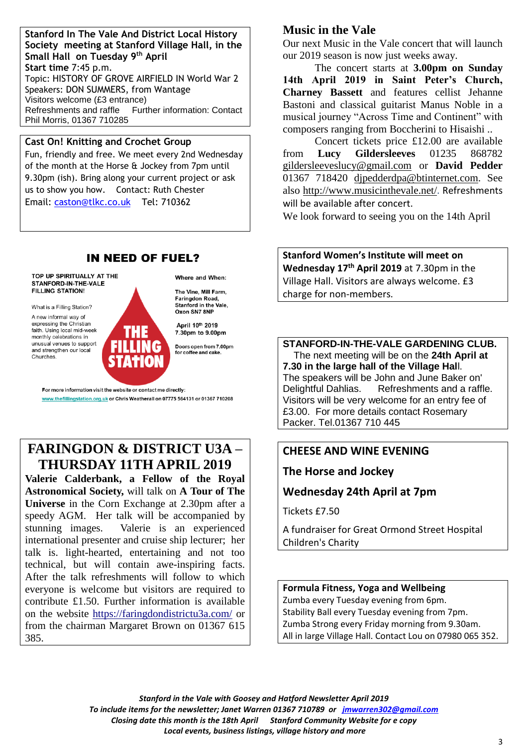#### **Stanford In The Vale And District Local History Society meeting at Stanford Village Hall, in the Small Hall on Tuesday 9 th April Start time** 7:45 p.m. Topic: HISTORY OF GROVE AIRFIELD IN World War 2 Speakers: DON SUMMERS, from Wantage Visitors welcome (£3 entrance) Refreshments and raffle Further information: Contact Phil Morris, 01367 710285

### **Cast On! Knitting and Crochet Group**

Fun, friendly and free. We meet every 2nd Wednesday of the month at the Horse & Jockey from 7pm until 9.30pm (ish). Bring along your current project or ask us to show you how. Contact: Ruth Chester Email: [caston@tlkc.co.uk](mailto:caston@tlkc.co.uk) Tel: 710362

# **IN NEED OF FUEL?**

#### TOP UP SPIRITUALLY AT THE STANFORD-IN-THE-VALE FILLING STATION!

What is a Filling Station? A new informal way of expressing the Christian faith. Using local mid-week<br>monthly celebrations in unusual venues to support and strengthen our local Churches.

Where and When:

The Vine, Mill Farm. Faringdon Road Stanford in the Vale. Oxon SN7 8NF

April 10th 2019 7.30pm to 9.00pm

Doors open from 7.00pm for coffee and cake.

For more information visit the website or contact me directly: www.thefillingstation.org.uk or Chris Weatherall on 07775 564131 or 01367 710208

# **FARINGDON & DISTRICT U3A – THURSDAY 11TH APRIL 2019**

**Valerie Calderbank, a Fellow of the Royal Astronomical Society,** will talk on **A Tour of The Universe** in the Corn Exchange at 2.30pm after a speedy AGM. Her talk will be accompanied by stunning images. Valerie is an experienced international presenter and cruise ship lecturer; her talk is. light-hearted, entertaining and not too technical, but will contain awe-inspiring facts. After the talk refreshments will follow to which everyone is welcome but visitors are required to contribute £1.50. Further information is available on the website<https://faringdondistrictu3a.com/> or from the chairman Margaret Brown on 01367 615 385.

# **Music in the Vale**

Our next Music in the Vale concert that will launch our 2019 season is now just weeks away.

The concert starts at **3.00pm on Sunday 14th April 2019 in Saint Peter's Church, Charney Bassett** and features cellist Jehanne Bastoni and classical guitarist Manus Noble in a musical journey "Across Time and Continent" with composers ranging from Boccherini to Hisaishi ..

Concert tickets price £12.00 are available from **Lucy Gildersleeves** 01235 868782 [gildersleeveslucy@gmail.com](mailto:gildersleeveslucy@gmail.com) or **David Pedder** 01367 718420 [djpedderdpa@btinternet.com.](mailto:djpedderdpa@btinternet.com) See also<http://www.musicinthevale.net/>. Refreshments will be available after concert.

We look forward to seeing you on the 14th April

**Stanford Women's Institute will meet on Wednesday 17th April 2019** at 7.30pm in the Village Hall. Visitors are always welcome. £3 charge for non-members.

**STANFORD-IN-THE-VALE GARDENING CLUB.** The next meeting will be on the **24th April at 7.30 in the large hall of the Village Hal**l. The speakers will be John and June Baker on' Delightful Dahlias. Refreshments and a raffle. Visitors will be very welcome for an entry fee of £3.00. For more details contact Rosemary Packer. Tel.01367 710 445

# **CHEESE AND WINE EVENING**

**The Horse and Jockey**

# **Wednesday 24th April at 7pm**

Tickets £7.50

A fundraiser for Great Ormond Street Hospital Children's Charity

**Formula Fitness, Yoga and Wellbeing** Zumba every Tuesday evening from 6pm. Stability Ball every Tuesday evening from 7pm. Zumba Strong every Friday morning from 9.30am. All in large Village Hall. Contact Lou on 07980 065 352.

*Stanford in the Vale with Goosey and Hatford Newsletter April 2019 To include items for the newsletter; Janet Warren 01367 710789 or [jmwarren302@gmail.com](mailto:jmwarren302@gmail.com) Closing date this month is the 18th April Stanford Community Website for e copy Local events, business listings, village history and more*